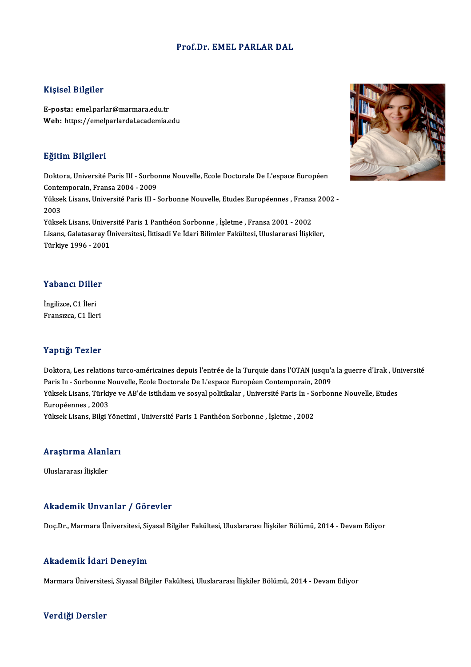#### Prof.Dr. EMEL PARLAR DAL

#### Kişisel Bilgiler

E-posta: emel.parlar@marmara.edu.tr Web: https://emelparlardal.academia.edu

#### Eğitim Bilgileri

Eğitim Bilgileri<br>Doktora, Université Paris III - Sorbonne Nouvelle, Ecole Doctorale De L'espace Européen<br>Centempersin, Erance 2004, -2009 mpressa<br>Doktora, Université Paris III - Sorbo:<br>Contemporain, Fransa 2004 - 2009<br>Viltael: Licane, Université Paris III Doktora, Université Paris III - Sorbonne Nouvelle, Ecole Doctorale De L'espace Européen<br>Contemporain, Fransa 2004 - 2009<br>Yüksek Lisans, Université Paris III - Sorbonne Nouvelle, Etudes Européennes , Fransa 2002 -<br>2002 Contemporain, Fransa 2004 - 2009<br>Yüksek Lisans, Université Paris III - Sorbonne Nouvelle, Etudes Européennes , Frans<br>2003<br>Yüksek Lisans, Université Paris 1 Panthéon Sorbonne , İşletme , Fransa 2001 - 2002 Yüksek Lisans, Université Paris III - Sorbonne Nouvelle, Etudes Européennes , Fransa<br>2003<br>Yüksek Lisans, Université Paris 1 Panthéon Sorbonne , İşletme , Fransa 2001 - 2002<br>Lisans, Calatasansı Üniversitesi, İltisadi Ve İda 2003<br>Yüksek Lisans, Université Paris 1 Panthéon Sorbonne , İşletme , Fransa 2001 - 2002<br>Lisans, Galatasaray Üniversitesi, İktisadi Ve İdari Bilimler Fakültesi, Uluslararasi İlişkiler,<br>Türkiye 1006 - 2001 Yüksek Lisans, Univer<br>Lisans, Galatasaray Ü<br>Türkiye 1996 - 2001

## Türkiye 1996 - 2001<br>Yabancı Diller

İngilizce, C1 İleri Fransızca, C1 İleri

#### Yaptığı Tezler

**Yaptığı Tezler**<br>Doktora, Les relations turco-américaines depuis l'entrée de la Turquie dans l'OTAN jusqu'a la guerre d'Irak , Université<br>Paris lu , Sarbanne Nouvelle, Escle Dostarele De L'espase Européen Contemporain, 200 Parys II - Soro<br>Doktora, Les relations turco-américaines depuis l'entrée de la Turquie dans l'OTAN jusqu'a<br>Paris Iu - Sorbonne Nouvelle, Ecole Doctorale De L'espace Européen Contemporain, 2009<br>Viksek Lisans, Türkiye ve AP' Doktora, Les relations turco-américaines depuis l'entrée de la Turquie dans l'OTAN jusqu'a la guerre d'Irak , Un<br>Paris Iu - Sorbonne Nouvelle, Ecole Doctorale De L'espace Européen Contemporain, 2009<br>Yüksek Lisans, Türkiye Paris I<mark>u - Sorbonne N<br>Yüksek Lisans, Türkiy</mark><br>Européennes , 2003<br><sup>Vülrook Lisans, Bilgi v</sup> Yüksek Lisans, Türkiye ve AB'de istihdam ve sosyal politikalar , Université Paris In - So<br>Européennes , 2003<br>Yüksek Lisans, Bilgi Yönetimi , Université Paris 1 Panthéon Sorbonne , İşletme , 2002

## ruksek Lisans, biigi rone<br>Araştırma Alanları <mark>Araştırma Alanl</mark><br>Uluslararası İlişkiler

## Akademik Unvanlar / Görevler

Doç.Dr., Marmara Üniversitesi, Siyasal Bilgiler Fakültesi, Uluslararası İlişkiler Bölümü, 2014 - Devam Ediyor

#### Akademik İdari Deneyim

Marmara Üniversitesi, Siyasal Bilgiler Fakültesi, Uluslararası İlişkiler Bölümü, 2014 - Devam Ediyor

#### Verdiği Dersler

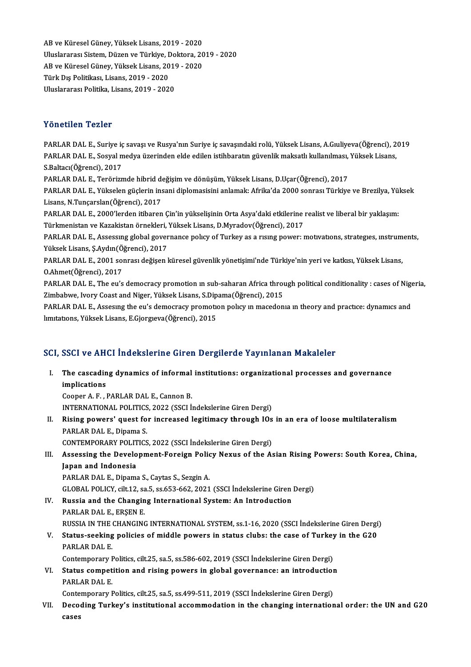AB ve Küresel Güney, Yüksek Lisans, 2019 - 2020<br>Illuelararesı Sistem, Düren ve Türkiye, Dektara, 20 AB ve Küresel Güney, Yüksek Lisans, 2019 - 2020<br>Uluslararası Sistem, Düzen ve Türkiye, Doktora, 2019 - 2020<br>AB ve Küresel Güney, Yüksek Lisans, 2019, ...2020 AB ve Küresel Güney, Yüksek Lisans, 2019 - 2020<br>Uluslararası Sistem, Düzen ve Türkiye, Doktora, 20<br>AB ve Küresel Güney, Yüksek Lisans, 2019 - 2020<br>Türk Dış Politikası Lisans, 2019, 2020 Uluslararası Sistem, Düzen ve Türkiye, <mark>L</mark><br>AB ve Küresel Güney, Yüksek Lisans, 20<br>Türk Dış Politikası, Lisans, 2019 - 2020<br>Uluslararası Politika Lisans, 2019 - 2020 AB ve Küresel Güney, Yüksek Lisans, 2019 - 2020<br>Türk Dış Politikası, Lisans, 2019 - 2020<br>Uluslararası Politika, Lisans, 2019 - 2020

### Yönetilen Tezler

PARLAR DAL E., Suriye iç savaşı ve Rusya'nın Suriye iç savaşındaki rolü, Yüksek Lisans, A.Gıuliyeva(Öğrenci), 2019 PARLAR DAL E., Suriye iç savaşı ve Rusya'nın Suriye iç savaşındaki rolü, Yüksek Lisans, A.Gıuliyeva(Öğrenci), 2<br>PARLAR DAL E., Sosyal medya üzerinden elde edilen istihbaratın güvenlik maksatlı kullanılması, Yüksek Lisans,<br> PARLAR DAL E., Suriye iç<br>PARLAR DAL E., Sosyal n<br>S.Baltacı(Öğrenci), 2017<br>PARLAR DAL E. Tonörinn PARLAR DAL E., Sosyal medya üzerinden elde edilen istihbaratın güvenlik maksatlı kullanılması,<br>S.Baltacı(Öğrenci), 2017<br>PARLAR DAL E., Terörizmde hibrid değişim ve dönüşüm, Yüksek Lisans, D.Uçar(Öğrenci), 2017<br>PARLAR DAL E S.Baltacı(Öğrenci), 2017<br>PARLAR DAL E., Terörizmde hibrid değişim ve dönüşüm, Yüksek Lisans, D.Uçar(Öğrenci), 2017<br>PARLAR DAL E., Yükselen güçlerin insani diplomasisini anlamak: Afrika'da 2000 sonrası Türkiye ve Brezilya, PARLAR DAL E., Terörizmde hibrid de<br>PARLAR DAL E., Yükselen güçlerin ins<br>Lisans, N.Tunçarslan(Öğrenci), 2017<br>PARLAR DAL E. 2000'lardan itibaran PARLAR DAL E., Yükselen güçlerin insani diplomasisini anlamak: Afrika'da 2000 sonrası Türkiye ve Brezilya, Yül<br>Lisans, N.Tunçarslan(Öğrenci), 2017<br>PARLAR DAL E., 2000'lerden itibaren Çin'in yükselişinin Orta Asya'daki etki Lisans, N.Tunçarslan(Öğrenci), 2017<br>PARLAR DAL E., 2000'lerden itibaren Çin'in yükselişinin Orta Asya'daki etkilerine realist ve liberal bir yaklaşım:<br>Türkmenistan ve Kazakistan örnekleri, Yüksek Lisans, D.Myradov(Öğrenci) PARLAR DAL E., 2000'lerden itibaren Çin'in yükselişinin Orta Asya'daki etkilerine realist ve liberal bir yaklaşım:<br>Türkmenistan ve Kazakistan örnekleri, Yüksek Lisans, D.Myradov(Öğrenci), 2017<br>PARLAR DAL E., Assessıng glob Türkmenistan ve Kazakistan örnekleri,<br>PARLAR DAL E., Assessing global gover<br>Yüksek Lisans, Ş.Aydın(Öğrenci), 2017<br>PARLAR DAL E. 2001 sonnası dağısın l PARLAR DAL E., Assessing global governance policy of Turkey as a rising power: motivations, strategies, instrum<br>Yüksek Lisans, Ş.Aydın(Öğrenci), 2017<br>PARLAR DAL E., 2001 sonrası değişen küresel güvenlik yönetişimi'nde Türk Yüksek Lisans, Ş.Aydın(Ö)<br>PARLAR DAL E., 2001 soı<br>O.Ahmet(Öğrenci), 2017<br>PARLAP DAL E. The Qu'S PARLAR DAL E., 2001 sonrası değişen küresel güvenlik yönetişimi'nde Türkiye'nin yeri ve katkısı, Yüksek Lisans,<br>O.Ahmet(Öğrenci), 2017<br>PARLAR DAL E., The eu's democracy promotion ın sub-saharan Africa through political con O.Ahmet(Öğrenci), 2017<br>PARLAR DAL E., The eu's democracy promotion ın sub-saharan Africa throu<br>Zimbabwe, Ivory Coast and Niger, Yüksek Lisans, S.Dipama(Öğrenci), 2015<br>RARLAR DAL E. Assesura the eu's demosregy premetion pol PARLAR DAL E., The eu's democracy promotion in sub-saharan Africa through political conditionality : cases of Nigeria,<br>Zimbabwe, Ivory Coast and Niger, Yüksek Lisans, S.Dipama(Öğrenci), 2015<br>PARLAR DAL E., Assesing the eu' Zimbabwe, Ivory Coast and Niger, Yüksek Lisans, S.Dip<br>PARLAR DAL E., Assesing the eu's democracy promotic<br>limitations, Yüksek Lisans, E.Gjorgieva(Öğrenci), 2015

# iimitations, ruksek Lisans, E.Gjorgieva(Ogrenci), 2015<br>SCI, SSCI ve AHCI İndekslerine Giren Dergilerde Yayınlanan Makaleler

CI, SSCI ve AHCI İndekslerine Giren Dergilerde Yayınlanan Makaleler<br>I. The cascading dynamics of informal institutions: organizational processes and governance<br>implications The cascading dynamics of informal institutions: organizational processes and governance implications

CooperA.F. ,PARLARDAL E.,CannonB. INTERNATIONAL POLITICS, 2022 (SSCI İndekslerine Giren Dergi)

Cooper A. F. , PARLAR DAL E., Cannon B.<br>INTERNATIONAL POLITICS, 2022 (SSCI Indekslerine Giren Dergi)<br>II. Rising powers' quest for increased legitimacy through IOs in an era of loose multilateralism<br>RARLAR DALE, Dinama INTERNATIONAL POLITICS<br>Rising powers' quest fo<br>PARLAR DAL E., Dipama S.<br>CONTEMBORARY POLITICS Rising powers' quest for increased legitimacy through IOs<br>PARLAR DAL E., Dipama S.<br>CONTEMPORARY POLITICS, 2022 (SSCI İndekslerine Giren Dergi)<br>Assessing the Development Foreign Policy Nexus of the A PARLAR DAL E., Dipama S.<br>CONTEMPORARY POLITICS, 2022 (SSCI Indekslerine Giren Dergi)<br>III. Assessing the Development-Foreign Policy Nexus of the Asian Rising Powers: South Korea, China,<br>Japan and Indonesia

### CONTEMPORARY POLIT<br>Assessing the Develo<br>Japan and Indonesia<br>PAPLAP DALE, Dinama Assessing the Development-Foreign Polic<br>Japan and Indonesia<br>PARLAR DAL E., Dipama S., Caytas S., Sezgin A.<br>CLOPAL POLICY si<sup>1</sup>t 12, sp.5, sp.652, 662, 2021 Japan and Indonesia<br>PARLAR DAL E., Dipama S., Caytas S., Sezgin A.<br>GLOBAL POLICY, cilt.12, sa.5, ss.653-662, 2021 (SSCI İndekslerine Giren Dergi)<br>Pussia and the Changing International System: An Introduction

PARLAR DAL E., Dipama S., Caytas S., Sezgin A.<br>GLOBAL POLICY, cilt.12, sa.5, ss.653-662, 2021 (SSCI Indekslerine Giren<br>IV. Russia and the Changing International System: An Introduction<br>PAPLAR DALE ERSENE GLOBAL POLICY, cilt.12, sa<br>Russia and the Changin<br>PARLAR DAL E., ERŞEN E.<br>PUSSIA IN THE CHANGING Russia and the Changing International System: An Introduction<br>PARLAR DAL E., ERŞEN E.<br>RUSSIA IN THE CHANGING INTERNATIONAL SYSTEM, ss.1-16, 2020 (SSCI İndekslerine Giren Dergi)<br>Status asoking polisiss of middle powers in s PARLAR DAL E., ERŞEN E.<br>RUSSIA IN THE CHANGING INTERNATIONAL SYSTEM, ss.1-16, 2020 (SSCI İndekslerine Giren Dergi<br>V. Status-seeking policies of middle powers in status clubs: the case of Turkey in the G20<br>PARLAR DAL E.

### RUSSIA IN THE<br>Status-seeking<br>PARLAR DAL E.<br>Contemporery I Status-seeking policies of middle powers in status clubs: the case of Turkey<br>PARLAR DAL E.<br>Contemporary Politics, cilt.25, sa.5, ss.586-602, 2019 (SSCI İndekslerine Giren Dergi)<br>Status compotition and vising powers in glob

PARLAR DAL E.<br>Contemporary Politics, cilt.25, sa.5, ss.586-602, 2019 (SSCI Indekslerine Giren Dergi)<br>VI. Status competition and rising powers in global governance: an introduction<br>RARLAR DALE Contemporary P<br>Status compet<br>PARLAR DAL E.<br>Contemporary I Status competition and rising powers in global governance: an introduction<br>PARLAR DAL E.<br>Contemporary Politics, cilt.25, sa.5, ss.499-511, 2019 (SSCI İndekslerine Giren Dergi)<br>Peseding Turkey's institutional assemmedation

Contemporary Politics, cilt.25, sa.5, ss.499-511, 2019 (SSCI İndekslerine Giren Dergi)

PARLAR DAL E.<br>Contemporary Politics, cilt.25, sa.5, ss.499-511, 2019 (SSCI İndekslerine Giren Dergi)<br>VII. Decoding Turkey's institutional accommodation in the changing international order: the UN and G20<br>cases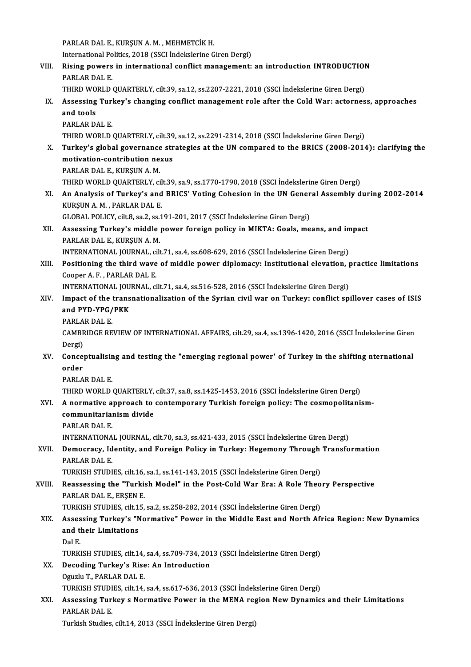PARLAR DAL E., KURŞUN A.M., MEHMETCİK H. PARLAR DAL E., KURŞUN A. M. , MEHMETCİK H.<br>International Politics, 2018 (SSCI İndekslerine Giren Dergi)<br>Pising novyare in international senflist management: VIII. Rising powers in international conflict management: an introduction INTRODUCTION<br>PARLAR DAL E. International Po<br><mark>Rising powers</mark><br>PARLAR DAL E.<br>THIPD WORL D. Rising powers in international conflict management: an introduction INTRODUCTION<br>PARLAR DAL E.<br>THIRD WORLD QUARTERLY, cilt.39, sa.12, ss.2207-2221, 2018 (SSCI İndekslerine Giren Dergi)<br>Assessing Turkey's shanging sonflist PARLAR DAL E.<br>THIRD WORLD QUARTERLY, cilt.39, sa.12, ss.2207-2221, 2018 (SSCI İndekslerine Giren Dergi)<br>IX. Assessing Turkey's changing conflict management role after the Cold War: actorness, approaches<br>and tools THIRD WO<br>Assessing<br>and tools<br>BABLAB D Assessing Turi<br>and tools<br>PARLAR DAL E.<br>THIPD WORLD. and tools<br>PARLAR DAL E.<br>THIRD WORLD QUARTERLY, cilt.39, sa.12, ss.2291-2314, 2018 (SSCI İndekslerine Giren Dergi) PARLAR DAL E.<br>THIRD WORLD QUARTERLY, cilt.39, sa.12, ss.2291-2314, 2018 (SSCI İndekslerine Giren Dergi)<br>X. Turkey's global governance strategies at the UN compared to the BRICS (2008-2014): clarifying the<br>motivation co THIRD WORLD QUARTERLY, cilt.39<br>Turkey's global governance str<br>motivation-contribution nexus<br>BABLAB DALE, KURSUNA M **Turkey's global governance<br>motivation-contribution ne:<br>PARLAR DAL E., KURŞUN A. M.<br>THIPD WORLD OUAPTERLY SE** motivation-contribution nexus<br>PARLAR DAL E., KURŞUN A. M.<br>THIRD WORLD QUARTERLY, cilt.39, sa.9, ss.1770-1790, 2018 (SSCI İndekslerine Giren Dergi) PARLAR DAL E., KURŞUN A. M.<br>THIRD WORLD QUARTERLY, cilt.39, sa.9, ss.1770-1790, 2018 (SSCI İndekslerine Giren Dergi)<br>XI. An Analysis of Turkey's and BRICS' Voting Cohesion in the UN General Assembly during 2002-2014<br>KURSUN THIRD WORLD QUARTERLY, cil<br>An Analysis of Turkey's and<br>KURŞUN A. M. , PARLAR DAL E.<br>CLOPAL POLICY, gilt 9, 20, 2, 20, 1 An Analysis of Turkey's and BRICS' Voting Cohesion in the UN Gener<br>KURŞUN A. M. , PARLAR DAL E.<br>GLOBAL POLICY, cilt.8, sa.2, ss.191-201, 2017 (SSCI İndekslerine Giren Dergi)<br>Assessing Turkey's middle newer foreign policy i KURŞUN A. M. , PARLAR DAL E.<br>GLOBAL POLICY, cilt.8, sa.2, ss.191-201, 2017 (SSCI İndekslerine Giren Dergi)<br>XII. Assessing Turkey's middle power foreign policy in MIKTA: Goals, means, and impact<br>RARLAR DALE, KURSUNA M GLOBAL POLICY, cilt.8, sa.2, ss.:<br>Assessing Turkey's middle<br>PARLAR DAL E., KURŞUN A. M.<br>INTERNATIONAL JOURNAL cil Assessing Turkey's middle power foreign policy in MIKTA: Goals, means, and in<br>PARLAR DAL E., KURŞUN A. M.<br>INTERNATIONAL JOURNAL, cilt.71, sa.4, ss.608-629, 2016 (SSCI İndekslerine Giren Dergi)<br>Positioning the third wave of PARLAR DAL E., KURŞUN A. M.<br>INTERNATIONAL JOURNAL, cilt.71, sa.4, ss.608-629, 2016 (SSCI İndekslerine Giren Dergi)<br>XIII. Positioning the third wave of middle power diplomacy: Institutional elevation, practice limitations<br>C INTERNATIONAL JOURNAL, ci<br>Positioning the third wave<br>Cooper A. F. , PARLAR DAL E.<br>INTERNATIONAL JOURNAL CO Positioning the third wave of middle power diplomacy: Institutional elevation, p<br>Cooper A. F., PARLAR DAL E.<br>INTERNATIONAL JOURNAL, cilt.71, sa.4, ss.516-528, 2016 (SSCI İndekslerine Giren Dergi)<br>Impact of the transpationa Cooper A. F. , PARLAR DAL E.<br>INTERNATIONAL JOURNAL, cilt.71, sa.4, ss.516-528, 2016 (SSCI indekslerine Giren Dergi)<br>XIV. Impact of the transnationalization of the Syrian civil war on Turkey: conflict spillover cases of ISI INTERNATIONAL JOU<br>Impact of the trans<br>and PYD-YPG/PKK<br>PAPI AP DAL E Impact of the<br>and PYD-YPG/<br>PARLAR DAL E.<br>CAMPPIDCE PE and PYD-YPG/PKK<br>PARLAR DAL E.<br>CAMBRIDGE REVIEW OF INTERNATIONAL AFFAIRS, cilt.29, sa.4, ss.1396-1420, 2016 (SSCI İndekslerine Giren PARLA<br>CAMBR<br>Dergi)<br>Canger CAMBRIDGE REVIEW OF INTERNATIONAL AFFAIRS, cilt.29, sa.4, ss.1396-1420, 2016 (SSCI Indekslerine Giren<br>Dergi)<br>XV. Conceptualising and testing the "emerging regional power' of Turkey in the shifting nternational<br>andar Dergi)<br>Conce<sub>l</sub><br>order<br>PAPLA Conceptualisir<br>order<br>PARLAR DAL E.<br>THIPD WORLD order<br>PARLAR DAL E.<br>THIRD WORLD QUARTERLY, cilt.37, sa.8, ss.1425-1453, 2016 (SSCI İndekslerine Giren Dergi) PARLAR DAL E.<br>THIRD WORLD QUARTERLY, cilt.37, sa.8, ss.1425-1453, 2016 (SSCI İndekslerine Giren Dergi)<br>XVI. A normative approach to contemporary Turkish foreign policy: The cosmopolitanism-<br>communitarianism divide THIRD WORLD QUARTERLY,<br>A normative approach to<br>communitarianism divide A normative a<br>communitaria<br>PARLAR DAL E.<br>INTERNATIONA communitarianism divide<br>PARLAR DAL E.<br>INTERNATIONAL JOURNAL, cilt.70, sa.3, ss.421-433, 2015 (SSCI İndekslerine Giren Dergi)<br>Demosnasy, Identity, and Foneisn Polisy in Tunkey: Hegemony Through Transfe PARLAR DAL E.<br>INTERNATIONAL JOURNAL, cilt.70, sa.3, ss.421-433, 2015 (SSCI Indekslerine Giren Dergi)<br>XVII. Democracy, Identity, and Foreign Policy in Turkey: Hegemony Through Transformation<br>PARLAR DAL E. **INTERNATIONA<br>Democracy, Id<br>PARLAR DAL E.<br>TURVISH STUDI** Democracy, Identity, and Foreign Policy in Turkey: Hegemony Through<br>PARLAR DAL E.<br>TURKISH STUDIES, cilt.16, sa.1, ss.141-143, 2015 (SSCI İndekslerine Giren Dergi)<br>Peassessing the "Turkish Model" in the Pest Cold War Frau A XVIII. Reassessing the "Turkish Model" in the Post-Cold War Era: A Role Theory Perspective<br>PARLAR DAL E., ERSEN E. TURKISH STUDIES, cilt.16,<br>Reassessing the "Turki:<br>PARLAR DAL E., ERŞEN E.<br>TURKISH STUDIES, cilt.15 Reassessing the "Turkish Model" in the Post-Cold War Era: A Role Theo<br>PARLAR DAL E., ERŞEN E.<br>TURKISH STUDIES, cilt.15, sa.2, ss.258-282, 2014 (SSCI İndekslerine Giren Dergi)<br>Assessing Turkov's "Normative" Power in the Mid PARLAR DAL E., ERŞEN E.<br>TURKISH STUDIES, cilt.15, sa.2, ss.258-282, 2014 (SSCI İndekslerine Giren Dergi)<br>XIX. Assessing Turkey's "Normative" Power in the Middle East and North Africa Region: New Dynamics<br>and their Limi TURKISH STUDIES, cilt.1<br>Assessing Turkey's "N<br>and their Limitations<br><sup>Dol F</sup> **Asses<br>and the**<br>Tip P and their Limitations<br>Dal E.<br>TURKISH STUDIES, cilt.14, sa.4, ss.709-734, 2013 (SSCI İndekslerine Giren Dergi)<br>Deseding Turkey's Bise: An Introduction Dal E.<br>TURKISH STUDIES, cilt.14, sa.4, ss.709-734, 20:<br>XX. Decoding Turkey's Rise: An Introduction<br>Oguzlu T., PARLAR DAL E. **TURKISH STUDIES, cilt.14,<br>Decoding Turkey's Rise<br>Oguzlu T., PARLAR DAL E.<br>TURKISH STUDIES, cilt.14** Decoding Turkey's Rise: An Introduction<br>Oguzlu T., PARLAR DAL E.<br>TURKISH STUDIES, cilt.14, sa.4, ss.617-636, 2013 (SSCI İndekslerine Giren Dergi)<br>Assessing Turkey e Normative Pewer in the MENA region New Dynamic XXI. Assessing Turkey s Normative Power in the MENA region New Dynamics and their Limitations<br>PARLAR DAL E. TURKISH STUDI<br>Assessi<mark>ng Tur</mark>i<br>PARLAR DAL E.<br>Turkish Studies

Turkish Studies, cilt.14, 2013 (SSCI İndekslerine Giren Dergi)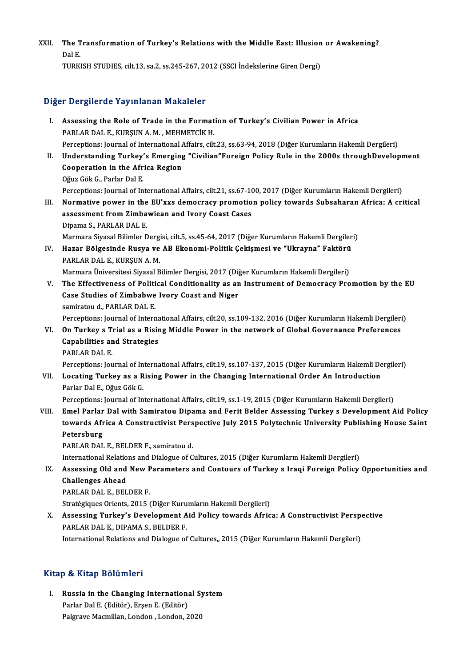XXII. The Transformation of Turkey's Relations with the Middle East: Illusion or Awakening?<br>Rel E The T<br>Dal E.<br>TURE Dal E.<br>TURKISH STUDIES, cilt.13, sa.2, ss.245-267, 2012 (SSCI İndekslerine Giren Dergi)

### Diğer Dergilerde Yayınlanan Makaleler

- I. Assessing the Role of Trade in the Formation of Turkey's Civilian Power in Africa PARLAR DAL E., KURŞUN A.M., MEHMETCİK H. Perceptions: Journal of International Affairs, cilt.23, ss.63-94, 2018 (Diğer Kurumların Hakemli Dergileri) PARLAR DAL E., KURŞUN A. M. , MEHMETCİK H.<br>Perceptions: Journal of International Affairs, cilt.23, ss.63-94, 2018 (Diğer Kurumların Hakemli Dergileri)<br>II. Understanding Turkey's Emerging "Civilian"Foreign Policy Role in th
- Perceptions: Journal of International Anderstanding Turkey's Emerging<br>Cooperation in the Africa Region<br>Cover Cak C. Parlar Dal E **Understanding Turkey'<br>Cooperation in the Afr<br>Oğuz Gök G., Parlar Dal E.<br>Persentions: Journal of In** Cooperation in the Africa Region<br>Oğuz Gök G., Parlar Dal E.<br>Perceptions: Journal of International Affairs, cilt.21, ss.67-100, 2017 (Diğer Kurumların Hakemli Dergileri)<br>Normative novyar in the Ell'ywe demogracy premation p Oğuz Gök G., Parlar Dal E.<br>Perceptions: Journal of International Affairs, cilt.21, ss.67-100, 2017 (Diğer Kurumların Hakemli Dergileri)<br>III. Normative power in the EU'xxs democracy promotion policy towards Subsaharan Afric
- Perceptions: Journal of International Affairs, cilt.21, ss.67-10<br>Normative power in the EU'xxs democracy promotio<br>assessment from Zimbawiean and Ivory Coast Cases<br>Dinama S. BABLAB DALE **Normative power in the<br>assessment from Zimba<br>Dipama S., PARLAR DAL E.<br>Marmara Siyagel Bilimlar D** assessment from Zimbawiean and Ivory Coast Cases<br>Dipama S., PARLAR DAL E.<br>Marmara Siyasal Bilimler Dergisi, cilt.5, ss.45-64, 2017 (Diğer Kurumların Hakemli Dergileri)<br>Haran Bölgesinde Bueve ve AB Ekanomi Bolitik Cokismesi
- Dipama S., PARLAR DAL E.<br>Marmara Siyasal Bilimler Dergisi, cilt.5, ss.45-64, 2017 (Diğer Kurumların Hakemli Dergiler<br>IV. Hazar Bölgesinde Rusya ve AB Ekonomi-Politik Çekişmesi ve "Ukrayna" Faktörü<br>RARLAR DAL E. KURSUN Marmara Siyasal Bilimler Dergi<br><mark>Hazar Bölgesinde Rusya ve</mark><br>PARLAR DAL E., KURŞUN A. M.<br>Marmara Üniversitesi Siyasal B Hazar Bölgesinde Rusya ve AB Ekonomi-Politik Çekişmesi ve "Ukrayna" Faktörü<br>PARLAR DAL E., KURŞUN A. M.<br>Marmara Üniversitesi Siyasal Bilimler Dergisi, 2017 (Diğer Kurumların Hakemli Dergileri)<br>The Effectiveness of Bolitica PARLAR DAL E., KURŞUN A. M.<br>Marmara Üniversitesi Siyasal Bilimler Dergisi, 2017 (Diğer Kurumların Hakemli Dergileri)<br>V. The Effectiveness of Political Conditionality as an Instrument of Democracy Promotion by the EU

- Marmara Üniversitesi Siyasal Bilimler Dergisi, 2017 (Diğ<br>The Effectiveness of Political Conditionality as an<br>Case Studies of Zimbabwe Ivory Coast and Niger<br>samiratoud, PAPLAR DALE Case Studies of Zimbabwe Ivory Coast and Niger<br>samiratou d., PARLAR DAL E. Perceptions: Journal of International Affairs, cilt.20, ss.109-132, 2016 (Diğer Kurumların Hakemli Dergileri)
- samiratou d., PARLAR DAL E.<br>Perceptions: Journal of International Affairs, cilt.20, ss.109-132, 2016 (Diğer Kurumların Hakemli Dergileri<br>VI. On Turkey s Trial as a Rising Middle Power in the network of Global Governanc Perceptions: Journal of Interna<br>On Turkey s Trial as a Risir<br>Capabilities and Strategies<br>PARLAP DALE On Turkey s T<br>Capabilities ar<br>PARLAR DAL E.<br>Persentians: Jay Capabilities and Strategies<br>PARLAR DAL E.<br>Perceptions: Journal of International Affairs, cilt.19, ss.107-137, 2015 (Diğer Kurumların Hakemli Dergileri)

PARLAR DAL E.<br>Perceptions: Journal of International Affairs, cilt.19, ss.107-137, 2015 (Diğer Kurumların Hakemli De<br>VII. Locating Turkey as a Rising Power in the Changing International Order An Introduction<br>Rerler Del Perceptions: Journal of In<br>Locating Turkey as a R<br>Parlar Dal E., Oğuz Gök G.<br>Persentions: Journal of In Locating Turkey as a Rising Power in the Changing International Order An Introduction<br>Parlar Dal E., Oğuz Gök G.<br>Perceptions: Journal of International Affairs, cilt.19, ss.1-19, 2015 (Diğer Kurumların Hakemli Dergileri)<br>Em

Parlar Dal E., Oğuz Gök G.<br>Perceptions: Journal of International Affairs, cilt.19, ss.1-19, 2015 (Diğer Kurumların Hakemli Dergileri)<br>VIII. Emel Parlar Dal with Samiratou Dipama and Ferit Belder Assessing Turkey s Deve Perceptions: Journal of International Affairs, cilt.19, ss.1-19, 2015 (Diğer Kurumların Hakemli Dergileri)<br>Emel Parlar Dal with Samiratou Dipama and Ferit Belder Assessing Turkey s Development Aid Policy<br>towards Africa A C Emel Parlar<br>towards Afr<br>Petersburg<br>PAPLAP DAL towards Africa A Constructivist Pers<br>Petersburg<br>PARLAR DAL E., BELDER F., samiratou d.<br>International Belations and Dialogue of C Petersburg<br>PARLAR DAL E., BELDER F., samiratou d.<br>International Relations and Dialogue of Cultures, 2015 (Diğer Kurumların Hakemli Dergileri)

PARLAR DAL E., BELDER F., samiratou d.<br>International Relations and Dialogue of Cultures, 2015 (Diğer Kurumların Hakemli Dergileri)<br>IX. Assessing Old and New Parameters and Contours of Turkey s Iraqi Foreign Policy Oppo Challenges Ahead<br>PARLAR DAL E., BELDER F. Assessing Old and New P<br>Challenges Ahead<br>PARLAR DAL E., BELDER F.<br>Stratégiques Oriente 2015 (

Stratégiques Orients, 2015 (Diğer Kurumların Hakemli Dergileri)

PARLAR DAL E., BELDER F.<br>Stratégiques Orients, 2015 (Diğer Kurumların Hakemli Dergileri)<br>X. Assessing Turkey's Development Aid Policy towards Africa: A Constructivist Perspective<br>RABLAR DALE, DIRAMA S. BELDER E. Stratégiques Orients, 2015 (Diğer Kuru<br>Assessing Turkey's Development A<br>PARLAR DAL E., DIPAMA S., BELDER F.<br>International Belations and Dialogue of Assessing Turkey's Development Aid Policy towards Africa: A Constructivist Persp<br>PARLAR DAL E., DIPAMA S., BELDER F.<br>International Relations and Dialogue of Cultures,, 2015 (Diğer Kurumların Hakemli Dergileri) International Relations and Dialogue of Cultures,, 2015 (Diğer Kurumların Hakemli Dergileri)<br>Kitap & Kitap Bölümleri

itap & Kitap Bölümleri<br>I. Russia in the Changing International System<br>Rarka Del E (Editër) Erson E (Editër) Parlard Botamich<br>Parlar Dal E. (Editör), Erşen E. (Editör)<br>Palgrave Macmillan Landan, Landan, 2 Russia in the Changing International Sy<br>Parlar Dal E. (Editör), Erşen E. (Editör)<br>Palgrave Macmillan, London , London, 2020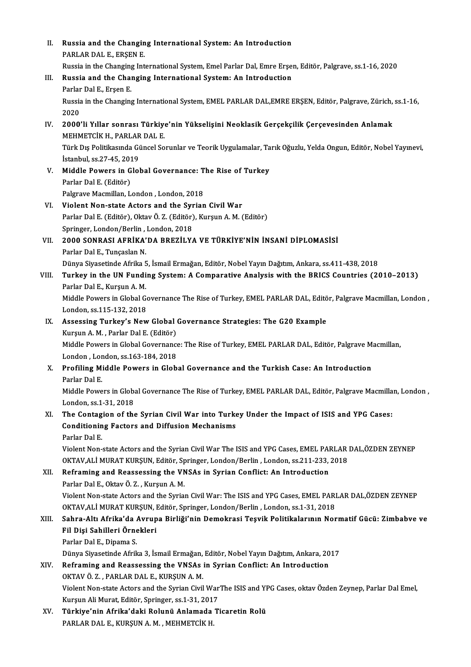| П.        | Russia and the Changing International System: An Introduction                                                                                |
|-----------|----------------------------------------------------------------------------------------------------------------------------------------------|
|           | PARLAR DAL E., ERŞEN E.                                                                                                                      |
|           | Russia in the Changing International System, Emel Parlar Dal, Emre Erșen, Editör, Palgrave, ss.1-16, 2020                                    |
| Ш.<br>IV. | Russia and the Changing International System: An Introduction                                                                                |
|           | Parlar Dal E, Erşen E.                                                                                                                       |
|           | Russia in the Changing International System, EMEL PARLAR DAL, EMRE ERŞEN, Editör, Palgrave, Zürich, ss.1-16,<br>2020                         |
|           |                                                                                                                                              |
|           | 2000'li Yıllar sonrası Türkiye'nin Yükselişini Neoklasik Gerçekçilik Çerçevesinden Anlamak                                                   |
|           | MEHMETCIK H., PARLAR DAL E.                                                                                                                  |
|           | Türk Dış Politikasında Güncel Sorunlar ve Teorik Uygulamalar, Tarık Oğuzlu, Yelda Ongun, Editör, Nobel Yayınevi,<br>İstanbul, ss 27-45, 2019 |
|           |                                                                                                                                              |
| V.        | Middle Powers in Global Governance: The Rise of Turkey<br>Parlar Dal E (Editör)                                                              |
|           | Palgrave Macmillan, London, London, 2018                                                                                                     |
|           | Violent Non-state Actors and the Syrian Civil War                                                                                            |
| VI.       | Parlar Dal E. (Editör), Oktav Ö. Z. (Editör), Kurşun A. M. (Editör)                                                                          |
|           | Springer, London/Berlin, London, 2018                                                                                                        |
| VII.      | 2000 SONRASI AFRİKA'DA BREZİLYA VE TÜRKİYE'NİN İNSANİ DİPLOMASİSİ                                                                            |
|           | Parlar Dal E., Tunçaslan N.                                                                                                                  |
|           | Dünya Siyasetinde Afrika 5, İsmail Ermağan, Editör, Nobel Yayın Dağıtım, Ankara, ss.411-438, 2018                                            |
| VIII.     | Turkey in the UN Funding System: A Comparative Analysis with the BRICS Countries (2010-2013)                                                 |
|           | Parlar Dal E., Kurşun A. M.                                                                                                                  |
|           | Middle Powers in Global Governance The Rise of Turkey, EMEL PARLAR DAL, Editör, Palgrave Macmillan, London,                                  |
|           | London, ss 115-132, 2018                                                                                                                     |
| IX.       | Assessing Turkey's New Global Governance Strategies: The G20 Example                                                                         |
|           | Kurşun A.M., Parlar Dal E. (Editör)                                                                                                          |
|           | Middle Powers in Global Governance: The Rise of Turkey, EMEL PARLAR DAL, Editör, Palgrave Macmillan,                                         |
|           | London, London, ss 163-184, 2018                                                                                                             |
|           | X. Profiling Middle Powers in Global Governance and the Turkish Case: An Introduction                                                        |
|           | Parlar Dal E                                                                                                                                 |
|           | Middle Powers in Global Governance The Rise of Turkey, EMEL PARLAR DAL, Editör, Palgrave Macmillan, London,                                  |
|           | London, ss 1-31, 2018                                                                                                                        |
| XI.       | The Contagion of the Syrian Civil War into Turkey Under the Impact of ISIS and YPG Cases:                                                    |
|           | <b>Conditioning Factors and Diffusion Mechanisms</b>                                                                                         |
|           | Parlar Dal E.                                                                                                                                |
|           | Violent Non-state Actors and the Syrian Civil War The ISIS and YPG Cases, EMEL PARLAR DAL,ÖZDEN ZEYNEP                                       |
|           | OKTAV, ALI MURAT KURŞUN, Editör, Springer, London/Berlin, London, ss.211-233, 2018                                                           |
| XII.      | Reframing and Reassessing the VNSAs in Syrian Conflict: An Introduction                                                                      |
|           | Parlar Dal E., Oktav Ö. Z., Kurşun A. M.                                                                                                     |
|           | Violent Non-state Actors and the Syrian Civil War: The ISIS and YPG Cases, EMEL PARLAR DAL,ÖZDEN ZEYNEP                                      |
|           | OKTAV, ALİ MURAT KURŞUN, Editör, Springer, London/Berlin, London, ss.1-31, 2018                                                              |
| XIII.     | Sahra-Altı Afrika'da Avrupa Birliği'nin Demokrasi Teşvik Politikalarının Normatif Gücü: Zimbabve ve                                          |
|           | Fil Dişi Sahilleri Örnekleri                                                                                                                 |
|           | Parlar Dal E., Dipama S.                                                                                                                     |
|           | Dünya Siyasetinde Afrika 3, İsmail Ermağan, Editör, Nobel Yayın Dağıtım, Ankara, 2017                                                        |
| XIV.      | Reframing and Reassessing the VNSAs in Syrian Conflict: An Introduction                                                                      |
|           | OKTAV Ö.Z., PARLAR DAL E., KURŞUN A.M.                                                                                                       |
|           | Violent Non-state Actors and the Syrian Civil WarThe ISIS and YPG Cases, oktav Özden Zeynep, Parlar Dal Emel,                                |
|           | Kurşun Ali Murat, Editör, Springer, ss.1-31, 2017                                                                                            |
| XV.       | Türkiye'nin Afrika'daki Rolunü Anlamada Ticaretin Rolü                                                                                       |
|           | PARLAR DAL E., KURŞUN A. M. , MEHMETCİK H.                                                                                                   |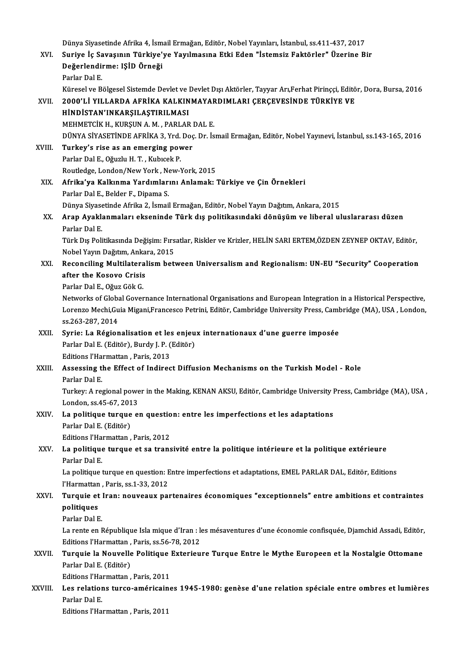Dünya Siyasetinde Afrika 4, İsmail Ermağan, Editör, Nobel Yayınları, İstanbul, ss.411-437, 2017<br>Suniya İs Savasının Türkiya'ya Yayılmasına Etki Edan "İstamair Faktörler" Üzerine P Dünya Siyasetinde Afrika 4, İsmail Ermağan, Editör, Nobel Yayınları, İstanbul, ss.411-437, 2017<br>XVI. Suriye İç Savaşının Türkiye'ye Yayılmasına Etki Eden "İstemsiz Faktörler" Üzerine Bir<br>Değerlendirme: ISİD Örneği Dünya Siyasetinde Afrika 4, İsm<br>Suriye İç Savaşının Türkiye'<sub>.</sub><br>Değerlendirme: IŞİD Örneği Suriye İç Sa<br>Değerlendi<br>Parlar Dal E.<br>Künasel ve B De<mark>ğerlendirme: IŞİD Örneği</mark><br>Parlar Dal E.<br>Küresel ve Bölgesel Sistemde Devlet ve Devlet Dışı Aktörler, Tayyar Arı,Ferhat Pirinççi, Editör, Dora, Bursa, 2016 Parlar Dal E.<br>Küresel ve Bölgesel Sistemde Devlet ve Devlet Dışı Aktörler, Tayyar Arı,Ferhat Pirinççi, Editö<br>XVII. 2000'Lİ YILLARDA AFRİKA KALKINMAYARDIMLARI ÇERÇEVESİNDE TÜRKİYE VE<br>HİNDİSTAN'INKARSILASTIRILMASI Küresel ve Bölgesel Sistemde Devlet ve l<br>2000'Lİ YILLARDA AFRİKA KALKIN<br>HİNDİSTAN'INKARŞILAŞTIRILMASI<br>MEHMETCİK HAKIDSINA MARARI AP 2000'LI YILLARDA AFRIKA KALKINMAYAF<br>HINDISTAN'INKARŞILAŞTIRILMASI<br>MEHMETCIK H., KURŞUN A. M. , PARLAR DAL E.<br>DÜNYA SİVASETİNDE AERIKA 2 Yrd Doc Dr İs HİNDİSTAN'INKARŞILAŞTIRILMASI<br>MEHMETCİK H., KURŞUN A. M. , PARLAR DAL E.<br>DÜNYA SİYASETİNDE AFRİKA 3. Yrd. Doç. Dr. İsmail Ermağan, Editör, Nobel Yayınevi, İstanbul, ss.143-165, 2016 MEHMETCIK H., KURŞUN A. M., PARLAR<br>DÜNYA SIYASETINDE AFRIKA 3, Yrd. Doç<br>XVIII. Turkey's rise as an emerging power DÜNYA SİYASETİNDE AFRİKA 3, Yrd.<br>**Turkey's rise as an emerging pov**<br>Parlar Dal E., Oğuzlu H. T. , Kubıcek P.<br>Poutledge Lenden (New York, New Y Turkey's rise as an emerging power<br>Parlar Dal E., Oğuzlu H. T. , Kubıcek P.<br>Routledge, London/New York, New-York, 2015<br>Afrika'ya Kalkınma Yardımlarını Anlamakı ' Parlar Dal E., Oğuzlu H. T. , Kubıcek P.<br>Routledge, London/New York , New-York, 2015<br>XIX. Afrika'ya Kalkınma Yardımlarını Anlamak: Türkiye ve Çin Örnekleri Parlar Dal E., Belder F., Dipama S. Afrika'ya Kalkınma Yardımlarını Anlamak: Türkiye ve Çin Örnekleri<br>Parlar Dal E., Belder F., Dipama S.<br>Dünya Siyasetinde Afrika 2, İsmail Ermağan, Editör, Nobel Yayın Dağıtım, Ankara, 2015<br>Anan Avaklanmaları okasninde Türk XX. Arap Ayaklanmaları ekseninde Türk dış politikasındaki dönüşüm ve liberal uluslararası düzen<br>Parlar Dal E. Dünya Siyase<br><mark>Arap Ayakl</mark>a<br>Parlar Dal E.<br>Türk Dış Pali</mark> Arap Ayaklanmaları ekseninde Türk dış politikasındaki dönüşüm ve liberal uluslararası düzen<br>Parlar Dal E.<br>Türk Dış Politikasında Değişim: Fırsatlar, Riskler ve Krizler, HELİN SARI ERTEM,ÖZDEN ZEYNEP OKTAV, Editör,<br>Nobel Ya Parlar Dal E.<br>Türk Dış Politikasında Değişim: Fırs<br>Nobel Yayın Dağıtım, Ankara, 2015<br>Rosongiling Multilatoralism beti Türk Dış Politikasında Değişim: Fırsatlar, Riskler ve Krizler, HELİN SARI ERTEM,ÖZDEN ZEYNEP OKTAV, Editör,<br>Nobel Yayın Dağıtım, Ankara, 2015<br>XXI. Reconciling Multilateralism between Universalism and Regionalism: UN-EU Nobel Yayın Dağıtım, Anka<br>Reconciling Multilateral<br>after the Kosovo Crisis<br>Parlar Dal E. Oğuz Cök C Reconciling Multilatera<br>after the Kosovo Crisis<br>Parlar Dal E., Oğuz Gök G.<br>Networks of Clabal Cover after the Kosovo Crisis<br>Parlar Dal E., Oğuz Gök G.<br>Networks of Global Governance International Organisations and European Integration in a Historical Perspective, Parlar Dal E., Oğuz Gök G.<br>Networks of Global Governance International Organisations and European Integration in a Historical Perspective,<br>Lorenzo Mechi,Guia Migani,Francesco Petrini, Editör, Cambridge University Press, Ca Networks of Globa<br>Lorenzo Mechi,Gu<br>ss.263-287, 2014<br>Syrio: La Pégion Lorenzo Mechi,Guia Migani,Francesco Petrini, Editör, Cambridge University Press, Camb<br>ss.263-287, 2014<br>XXII. Syrie: La Régionalisation et les enjeux internationaux d'une guerre imposée<br>Perley Del E (Editër), Purdy L.B. (Ed ss.263-287, 2014<br>Syrie: La Régionalisation et les enjeu<br>Parlar Dal E. (Editör), Burdy J. P. (Editör)<br>Editions l'Harmattan, Paris 2012 Syrie: La Régionalisation et les<br>Parlar Dal E. (Editör), Burdy J. P. (<br>Editions l'Harmattan , Paris, 2013<br>Assossing the Effect of Indines Parlar Dal E. (Editör), Burdy J. P. (Editör)<br>Editions l'Harmattan , Paris, 2013<br>XXIII. Assessing the Effect of Indirect Diffusion Mechanisms on the Turkish Model - Role<br>Parlar Dal E Editions l'Ha<br><mark>Assessing t</mark><br>Parlar Dal E.<br>Turkov A re Assessing the Effect of Indirect Diffusion Mechanisms on the Turkish Model - Role<br>Parlar Dal E.<br>Turkey: A regional power in the Making, KENAN AKSU, Editör, Cambridge University Press, Cambridge (MA), USA ,<br>Landan se 45, 67 Parlar Dal E.<br>Turkey: A regional powe<br>London, ss.45-67, 2013<br>Le politique turque e. Turkey: A regional power in the Making, KENAN AKSU, Editör, Cambridge University l<br>London, ss.45-67, 2013<br>XXIV. La politique turque en question: entre les imperfections et les adaptations<br>Parlap Dal E (Editär) London, ss.45-67, 2013<br>La politique turque e<br>Parlar Dal E. (Editör) La politique turque en questio<br>Parlar Dal E. (Editör)<br>Editions l'Harmattan , Paris, 2012<br>La politique turque et se trans XXV. La politique turque et sa transivité entre la politique intérieure et la politique extérieure Editions l'Harmattan, Paris, 2012 La politique turque et sa transivité entre la politique intérieure et la politique extérieure<br>Parlar Dal E.<br>La politique turque en question: Entre imperfections et adaptations, EMEL PARLAR DAL, Editör, Editions<br>l'Harmattan Parlar Dal E.<br>La politique turque en question: E<br>l'Harmattan , Paris, ss.1-33, 2012<br>Turquie et Iran: nouveaux nel La politique turque en question: Entre imperfections et adaptations, EMEL PARLAR DAL, Editör, Editions<br>I'Harmattan , Paris, ss.1-33, 2012<br>XXVI. Turquie et Iran: nouveaux partenaires économiques "exceptionnels" entre ambiti l'Harmattan , Paris, ss.1-33, 2012<br>Turquie et Iran: nouveaux pa<br>politiques<br>Parlar Dal E. Turquie et l<br>politiques<br>Parlar Dal E.<br>La rente en L La rente en République Isla mique d'Iran : les mésaventures d'une économie confisquée, Djamchid Assadi, Editör, Parlar Dal E.<br>La rente en République Isla mique d'Iran : le<br>Editions l'Harmattan , Paris, ss.56-78, 2012<br>Tunquie le Nouvelle Politique Extenieu La rente en République Isla mique d'Iran : les mésaventures d'une économie confisquée, Djamchid Assadi, Editör,<br>Editions l'Harmattan , Paris, ss.56-78, 2012<br>XXVII. Turquie la Nouvelle Politique Exterieure Turque Entre

### Editions l'Harmattan ,<br><mark>Turquie la Nouvelle</mark><br>Parlar Dal E. (Editör)<br>Editions l'Harmattan Turquie la Nouvelle Politique<br>Parlar Dal E. (Editör)<br>Editions l'Harmattan , Paris, 2011<br>Les relations tures, américains Parlar Dal E. (Editör)<br>Editions l'Harmattan , Paris, 2011<br>XXVIII. Les relations turco-américaines 1945-1980: genèse d'une relation spéciale entre ombres et lumières<br>Rerler Del E

Editions l'Ha<br><mark>Les relatior</mark><br>Parlar Dal E.<br>Editions l'Ho Parlar Dal E.<br>Editions l'Harmattan , Paris, 2011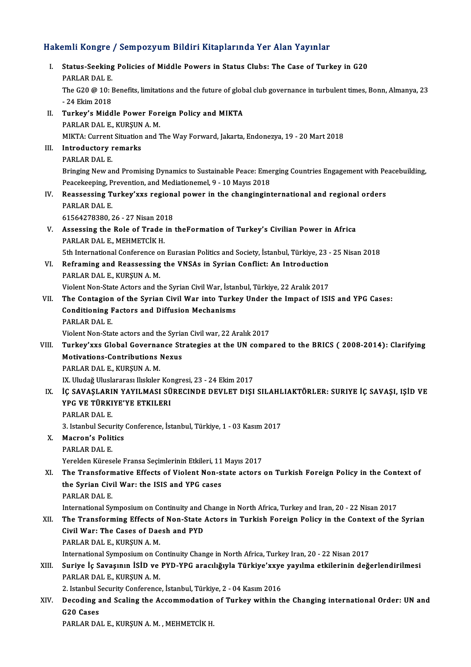# Hakemli Kongre / Sempozyum Bildiri Kitaplarında Yer Alan Yayınlar<br>Hakemli Kongre / Sempozyum Bildiri Kitaplarında Yer Alan Yayınlar

|       | Hakemli Kongre / Sempozyum Bildiri Kitaplarında Yer Alan Yayınlar                                                                                                                                            |
|-------|--------------------------------------------------------------------------------------------------------------------------------------------------------------------------------------------------------------|
| Ι.    | Status-Seeking Policies of Middle Powers in Status Clubs: The Case of Turkey in G20<br>PARLAR DAL E                                                                                                          |
|       | The G20 @ 10: Benefits, limitations and the future of global club governance in turbulent times, Bonn, Almanya, 23<br>- 24 Ekim 2018                                                                         |
| П.    | Turkey's Middle Power Foreign Policy and MIKTA                                                                                                                                                               |
|       | PARLAR DAL E, KURŞUN A.M.<br>MIKTA: Current Situation and The Way Forward, Jakarta, Endonezya, 19 - 20 Mart 2018                                                                                             |
| III.  | <b>Introductory remarks</b>                                                                                                                                                                                  |
|       | PARLAR DAL E<br>Bringing New and Promising Dynamics to Sustainable Peace: Emerging Countries Engagement with Peacebuilding,                                                                                  |
|       | Peacekeeping, Prevention, and Mediationemel, 9 - 10 Mayıs 2018                                                                                                                                               |
| IV.   | Reassessing Turkey'xxs regional power in the changinginternational and regional orders                                                                                                                       |
|       | PARLAR DAL E.                                                                                                                                                                                                |
| V.    | 61564278380, 26 - 27 Nisan 2018<br>Assessing the Role of Trade in the Formation of Turkey's Civilian Power in Africa                                                                                         |
|       | PARLAR DAL E, MEHMETCİK H.                                                                                                                                                                                   |
|       | 5th International Conference on Eurasian Politics and Society, İstanbul, Türkiye, 23 - 25 Nisan 2018                                                                                                         |
| VI.   | Reframing and Reassessing the VNSAs in Syrian Conflict: An Introduction                                                                                                                                      |
|       | PARLAR DAL E, KURŞUN A.M.<br>Violent Non-State Actors and the Syrian Civil War, İstanbul, Türkiye, 22 Aralık 2017                                                                                            |
| VII.  | The Contagion of the Syrian Civil War into Turkey Under the Impact of ISIS and YPG Cases:                                                                                                                    |
|       | <b>Conditioning Factors and Diffusion Mechanisms</b><br>PARLAR DAL E.                                                                                                                                        |
|       | Violent Non-State actors and the Syrian Civil war, 22 Aralık 2017                                                                                                                                            |
| VIII. | Turkey'xxs Global Governance Strategies at the UN compared to the BRICS (2008-2014): Clarifying                                                                                                              |
|       | <b>Motivations-Contributions Nexus</b><br>PARLAR DAL E., KURŞUN A. M.                                                                                                                                        |
|       | IX. Uludağ Uluslararası Ilıskıler Kongresi, 23 - 24 Ekim 2017                                                                                                                                                |
|       | IX. İÇ SAVAŞLARIN YAYILMASI SÜRECINDE DEVLET DIŞI SILAHLIAKTÖRLER: SURIYE İÇ SAVAŞI, IŞİD VE<br>YPG VE TÜRKIYE'YE ETKILERI                                                                                   |
|       | PARLAR DAL E                                                                                                                                                                                                 |
|       | 3. Istanbul Security Conference, İstanbul, Türkiye, 1 - 03 Kasım 2017                                                                                                                                        |
| X.    | <b>Macron's Politics</b><br>PARLAR DAL E                                                                                                                                                                     |
|       | Yerelden Küresele Fransa Seçimlerinin Etkileri, 11 Mayıs 2017                                                                                                                                                |
| XI.   | The Transformative Effects of Violent Non-state actors on Turkish Foreign Policy in the Context of                                                                                                           |
|       | the Syrian Civil War: the ISIS and YPG cases                                                                                                                                                                 |
|       | PARLAR DAL E                                                                                                                                                                                                 |
| XII.  | International Symposium on Continuity and Change in North Africa, Turkey and Iran, 20 - 22 Nisan 2017<br>The Transforming Effects of Non-State Actors in Turkish Foreign Policy in the Context of the Syrian |
|       | Civil War: The Cases of Daesh and PYD                                                                                                                                                                        |
|       | PARLAR DAL E., KURŞUN A. M.                                                                                                                                                                                  |
|       | International Symposium on Continuity Change in North Africa, Turkey Iran, 20 - 22 Nisan 2017                                                                                                                |
| XIII. | Suriye İç Savaşının İSİD ve PYD-YPG aracılığıyla Türkiye'xxye yayılma etkilerinin değerlendirilmesi                                                                                                          |
|       | PARLAR DAL E, KURŞUN A.M.<br>2. Istanbul Security Conference, İstanbul, Türkiye, 2 - 04 Kasım 2016                                                                                                           |
| XIV.  | Decoding and Scaling the Accommodation of Turkey within the Changing international Order: UN and                                                                                                             |
|       | G20 Cases                                                                                                                                                                                                    |
|       | PARLAR DAL E., KURŞUN A. M., MEHMETCİK H.                                                                                                                                                                    |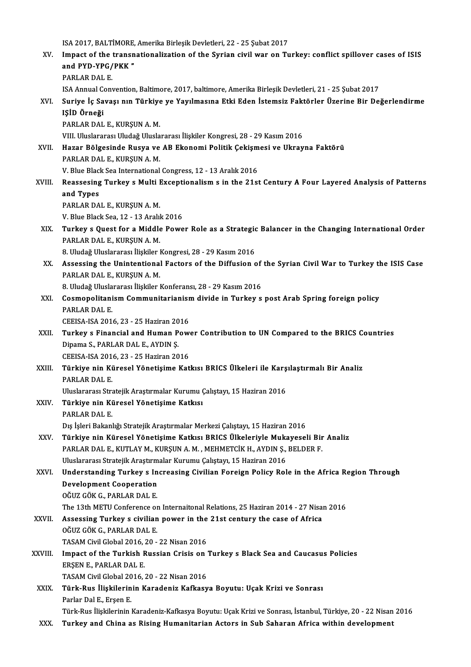ISA 2017, BALTİMORE, Amerika Birleşik Devletleri, 22 - 25 Şubat 2017<br>Impact of the transpationalization of the Supian civil vyar en Tu XV. Impact of the transnationalization of the Syrian civil war on Turkey: conflict spillover cases of ISIS ISA 2017, BALTİMORE,<br>Impact of the transn<br>and PYD-YPG/PKK "<br>PAPLAP DALE and PYD-YPG/PKK"<br>PARLAR DAL E. ISA Annual Convention, Baltimore, 2017, baltimore, Amerika Birleşik Devletleri, 21 - 25 Şubat 2017 PARLAR DAL E.<br>ISA Annual Convention, Baltimore, 2017, baltimore, Amerika Birleşik Devletleri, 21 - 25 Şubat 2017<br>XVI. Suriye İç Savaşı nın Türkiye ye Yayılmasına Etki Eden İstemsiz Faktörler Üzerine Bir Değerlendirme<br>I IŞİD Örneği<br>PARLAR DAL E., KURŞUN A. M. Suriye İç Savaşı nın Türkiye<br>IŞİD Örneği<br>PARLAR DAL E., KURŞUN A. M.<br>VIII Uluslararası Uludağ Ulusla VIII. Uluslararası Uludağ Uluslararası İlişkiler Kongresi, 28 - 29 Kasım 2016 PARLAR DAL E., KURŞUN A. M.<br>VIII. Uluslararası Uludağ Uluslararası İlişkiler Kongresi, 28 - 29 Kasım 2016<br>XVII. Hazar Bölgesinde Rusya ve AB Ekonomi Politik Çekişmesi ve Ukrayna Faktörü<br>RABLAR DAL E. KURSUN A. M VIII, Uluslararası Uludağ Ulusla<br><mark>Hazar Bölgesinde Rusya ve</mark><br>PARLAR DAL E., KURŞUN A. M.<br><sup>W. Blue Black See International.</sup> Hazar Bölgesinde Rusya ve AB Ekonomi Politik Çekişm<br>PARLAR DAL E., KURŞUN A. M.<br>V. Blue Black Sea International Congress, 12 - 13 Aralık 2016<br>Beassesing Turkey e Multi Exseptionalism e.in.the 31st PARLAR DAL E., KURŞUN A. M.<br>V. Blue Black Sea International Congress, 12 - 13 Aralık 2016<br>XVIII. Reassesing Turkey s Multi Exceptionalism s in the 21st Century A Four Layered Analysis of Patterns<br>and Tupes **V. Blue Black**<br>Reassesing<br>and Types<br>RARLAR DA Reassesing Turkey s Multi I<br>and Types<br>PARLAR DAL E., KURŞUN A. M.<br>V. Blue Black See 12 , 12 Arabl and Types<br>PARLAR DAL E., KURŞUN A. M.<br>V. Blue Black Sea, 12 - 13 Aralık 2016 PARLAR DAL E., KURŞUN A. M.<br>V. Blue Black Sea, 12 - 13 Aralık 2016<br>XIX. Turkey s Quest for a Middle Power Role as a Strategic Balancer in the Changing International Order<br>RARLAR DALE, KURSUN A.M. V. Blue Black Sea, 12 - 13 Aralıl<br><mark>Turkey s Quest for a Middle</mark><br>PARLAR DAL E., KURŞUN A. M.<br>8 Hudağ Huslaranesı İlialilar l Turkey s Quest for a Middle Power Role as a Strategion<br>PARLAR DAL E., KURŞUN A. M.<br>8. Uludağ Uluslararası İlişkiler Kongresi, 28 - 29 Kasım 2016<br>Assassing the Unintentional Fastana of the Diffusion c PARLAR DAL E., KURŞUN A. M.<br>8. Uludağ Uluslararası İlişkiler Kongresi, 28 - 29 Kasım 2016<br>XX. Assessing the Unintentional Factors of the Diffusion of the Syrian Civil War to Turkey the ISIS Case<br>RARLAR DALE, KURSUN A M 8. Uludağ Uluslararası İlişkiler<br>Assessing the Unintentional<br>PARLAR DAL E., KURŞUN A. M.<br>9. Uludağ Uluslararası İliskilar l Assessing the Unintentional Factors of the Diffusion of<br>PARLAR DAL E., KURŞUN A. M.<br>8. Uludağ Uluslararası İlişkiler Konferansı, 28 - 29 Kasım 2016<br>Cosmonalitanism Communitarianism divide in Turkey S PARLAR DAL E., KURŞUN A. M.<br>8. Uludağ Uluslararası İlişkiler Konferansı, 28 - 29 Kasım 2016<br>XXI. Cosmopolitanism Communitarianism divide in Turkey s post Arab Spring foreign policy<br>RARLAR DAL F 8. Uludağ Ulusla<br>Cosmopolitani<br>PARLAR DAL E.<br>CEEISA ISA 201 Cosmopolitanism Communitarianism<br>PARLAR DAL E.<br>CEEISA-ISA 2016, 23 - 25 Haziran 2016<br>Turkov e Einangial and Human Bow PARLAR DAL E.<br>CEEISA-ISA 2016, 23 - 25 Haziran 2016<br>XXII. Turkey s Financial and Human Power Contribution to UN Compared to the BRICS Countries<br>Dinama S. BARLAR DALE, AVDIN S CEEISA-ISA 2016, 23 - 25 Haziran 20<br>**Turkey s Financial and Human P**<br>Dipama S., PARLAR DAL E., AYDIN Ş. Turkey s Financial and Human Pow<br>Dipama S., PARLAR DAL E., AYDIN Ş.<br>CEEISA-ISA 2016, 23 - 25 Haziran 2016<br>Türkiye nin Küresel Vönetisime Kat Dipama S., PARLAR DAL E., AYDIN Ş.<br>CEEISA-ISA 2016, 23 - 25 Haziran 2016<br>XXIII. Türkiye nin Küresel Yönetişime Katkısı BRICS Ülkeleri ile Karşılaştırmalı Bir Analiz<br>RARLAR DALE CEEISA-ISA 201<br><mark>Türkiye nin Ki</mark><br>PARLAR DAL E.<br>Uluslararası Stre Türkiye nin Küresel Yönetişime Katkısı BRICS Ülkeleri ile Karş<br>PARLAR DAL E.<br>Uluslararası Stratejik Araştırmalar Kurumu Çalıştayı, 15 Haziran 2016<br>Türkiye nin Küresel Yönetisime Katkısı PARLAR DAL E.<br>Uluslararası Stratejik Araştırmalar Kurumu (<br>XXIV. Türkiye nin Küresel Yönetişime Katkısı<br>RARLAR DAL E Uluslararası Stra<br><mark>Türkiye nin Ki</mark><br>PARLAR DAL E.<br>Dış İslam Bakanl PARLAR DAL E.<br>Dış İşleri Bakanlığı Stratejik Araştırmalar Merkezi Çalıştayı, 15 Haziran 2016 PARLAR DAL E.<br>Dış İşleri Bakanlığı Stratejik Araştırmalar Merkezi Çalıştayı, 15 Haziran 2016<br>XXV. Türkiye nin Küresel Yönetişime Katkısı BRICS Ülkeleriyle Mukayeseli Bir Analiz<br>RARLAR DAL E. KUTLAY M. KURSIN A.M. MEHMETCİK Dış İşleri Bakanlığı Stratejik Araştırmalar Merkezi Çalıştayı, 15 Haziran 2016<br>Türkiye nin Küresel Yönetişime Katkısı BRICS Ülkeleriyle Mukayeseli Bir<br>PARLAR DAL E., KUTLAY M., KURŞUN A. M. , MEHMETCİK H., AYDIN Ş., BELDER Türkiye nin Küresel Yönetişime Katkısı BRICS Ülkeleriyle Muka<br>PARLAR DAL E., KUTLAY M., KURŞUN A. M. , MEHMETCİK H., AYDIN Ş.,<br>Uluslararası Stratejik Araştırmalar Kurumu Çalıştayı, 15 Haziran 2016<br>Understanding Turkey s In PARLAR DAL E., KUTLAY M., KURŞUN A. M. , MEHMETCİK H., AYDIN Ş., BELDER F.<br>Uluslararası Stratejik Araştırmalar Kurumu Çalıştayı, 15 Haziran 2016<br>XXVI. Understanding Turkey s Increasing Civilian Foreign Policy Role in the A Uluslararası Stratejik Araştırm<br>Understanding Turkey s In<br>Development Cooperation<br>Oğuz CÖK C. BARLAR DAL E Understanding Turkey s In<br>Development Cooperation<br>OĞUZ GÖK G., PARLAR DAL E.<br>The 12th METU Conference or Development Cooperation<br>OĞUZ GÖK G., PARLAR DAL E.<br>The 13th METU Conference on Internaitonal Relations, 25 Haziran 2014 - 27 Nisan 2016<br>Assessing Turkey s. sivilian nower in the 21st sentury the sase of Africa OĞUZ GÖK G., PARLAR DAL E.<br>The 13th METU Conference on Internaitonal Relations, 25 Haziran 2014 - 27 Nisa:<br>XXVII. Assessing Turkey s civilian power in the 21st century the case of Africa<br>OĞUZ GÖK G. BABLAR DAL E. The 13th METU Conference or<br>Assessing Turkey s civilian<br>OĞUZ GÖK G., PARLAR DAL E.<br>TASAM Civil Clabel 2016-20. Assessing Turkey s civilian power in the<br>OĞUZ GÖK G., PARLAR DAL E.<br>TASAM Civil Global 2016, 20 - 22 Nisan 2016<br>Impact of the Turkish Bussian Crisis en . OĞUZ GÖK G., PARLAR DAL E.<br>TASAM Civil Global 2016, 20 - 22 Nisan 2016<br>XXVIII. Impact of the Turkish Russian Crisis on Turkey s Black Sea and Caucasus Policies<br>ERSEN E., PARLAR DAL E. TASAM Civil Global 2016, 20 - 22 Nisan 2016 Impact of the Turkish Russian Crisis on '<br>ERŞEN E., PARLAR DAL E.<br>TASAM Civil Global 2016, 20 - 22 Nisan 2016<br>Türk Bus Uiskilerinin Kanadenir Kafkası XXIX. Türk-Rus İlişkilerinin Karadeniz Kafkasya Boyutu: Uçak Krizi ve Sonrası TASAM Civil Global 20<br><mark>Türk-Rus İlişkilerin</mark><br>Parlar Dal E., Erşen E.<br>Türk Bus İlişkilerinin i Türk-Rus İlişkilerininKaradeniz-KafkasyaBoyutu:UçakKrizive Sonrası, İstanbul,Türkiye,20 -22Nisan2016

XXX. Turkey and China as Rising Humanitarian Actors in Sub Saharan Africa within development